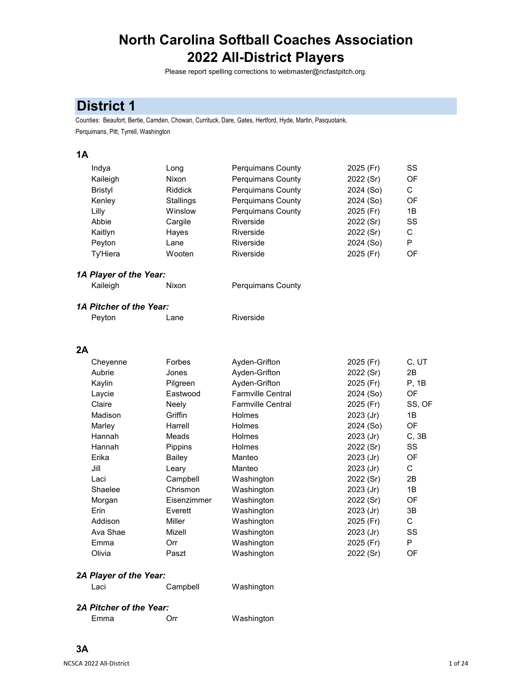# **North Carolina Softball Coaches Association 2022 All-District Players**

Please report spelling corrections to webmaster@ncfastpitch.org.

# **District 1**

Counties: Beaufort, Bertie, Camden, Chowan, Currituck, Dare, Gates, Hertford, Hyde, Martin, Pasquotank, Perquimans, Pitt, Tyrrell, Washington

## **1A**

| Indya           | Long           | <b>Perguimans County</b> | 2025 (Fr) | SS |
|-----------------|----------------|--------------------------|-----------|----|
| Kaileigh        | Nixon          | Perquimans County        | 2022 (Sr) | OF |
| <b>Bristyl</b>  | <b>Riddick</b> | <b>Perquimans County</b> | 2024 (So) | C. |
| Kenley          | Stallings      | <b>Perguimans County</b> | 2024 (So) | OF |
| Lilly           | Winslow        | <b>Perguimans County</b> | 2025 (Fr) | 1B |
| Abbie           | Cargile        | Riverside                | 2022 (Sr) | SS |
| Kaitlyn         | Hayes          | Riverside                | 2022 (Sr) | C. |
| Peyton          | Lane           | Riverside                | 2024 (So) | P  |
| <b>Ty'Hiera</b> | Wooten         | Riverside                | 2025 (Fr) | OF |

#### *1A Player of the Year:*

| Kaileigh<br>Nixon | <b>Perquimans County</b> |
|-------------------|--------------------------|
|-------------------|--------------------------|

# *1A Pitcher of the Year:*

| Peyton | Lane | Riverside |
|--------|------|-----------|
|--------|------|-----------|

#### **2A**

| Cheyenne | Forbes         | Ayden-Grifton            | 2025 (Fr)   | C, UT     |
|----------|----------------|--------------------------|-------------|-----------|
| Aubrie   | Jones          | Ayden-Grifton            | 2022 (Sr)   | 2B        |
| Kaylin   | Pilgreen       | Ayden-Grifton            | 2025 (Fr)   | P. 1B     |
| Laycie   | Eastwood       | <b>Farmville Central</b> | 2024 (So)   | OF.       |
| Claire   | Neely          | <b>Farmville Central</b> | 2025 (Fr)   | SS, OF    |
| Madison  | Griffin        | Holmes                   | $2023$ (Jr) | 1B        |
| Marley   | Harrell        | <b>Holmes</b>            | 2024 (So)   | <b>OF</b> |
| Hannah   | Meads          | <b>Holmes</b>            | $2023$ (Jr) | C.3B      |
| Hannah   | <b>Pippins</b> | <b>Holmes</b>            | 2022 (Sr)   | SS        |
| Erika    | Bailey         | Manteo                   | $2023$ (Jr) | OF        |
| Jill     | Leary          | Manteo                   | $2023$ (Jr) | C         |
| Laci     | Campbell       | Washington               | 2022 (Sr)   | 2B        |
| Shaelee  | Chrismon       | Washington               | 2023 (Jr)   | 1B        |
| Morgan   | Eisenzimmer    | Washington               | 2022 (Sr)   | OF        |
| Erin     | Everett        | Washington               | $2023$ (Jr) | 3B        |
| Addison  | Miller         | Washington               | 2025 (Fr)   | С         |
| Ava Shae | Mizell         | Washington               | 2023 (Jr)   | SS        |
| Emma     | Orr            | Washington               | 2025 (Fr)   | P         |
| Olivia   | Paszt          | Washington               | 2022 (Sr)   | OF        |

#### *2A Player of the Year:*

Laci Campbell Washington

## *2A Pitcher of the Year:*

| Emma | Orr | Washington |
|------|-----|------------|
|------|-----|------------|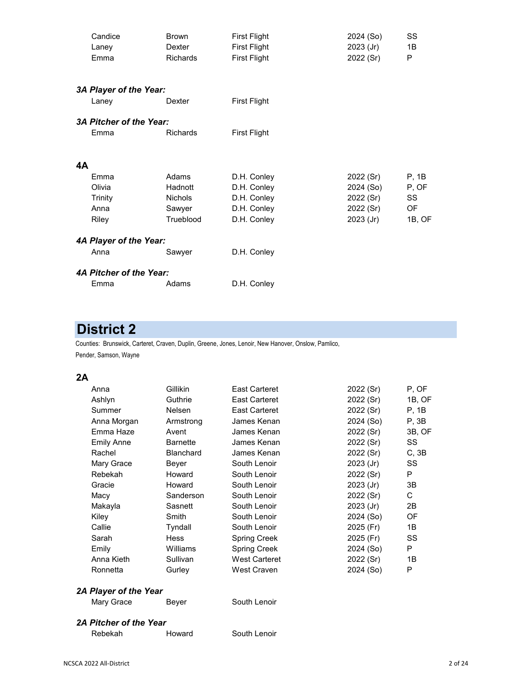|    | Candice                 | <b>Brown</b>    | <b>First Flight</b> | 2024 (So)   | SS     |
|----|-------------------------|-----------------|---------------------|-------------|--------|
|    | Laney                   | Dexter          | <b>First Flight</b> | $2023$ (Jr) | 1B     |
|    | Emma                    | <b>Richards</b> | <b>First Flight</b> | 2022 (Sr)   | P      |
|    |                         |                 |                     |             |        |
|    | 3A Player of the Year:  |                 |                     |             |        |
|    | Laney                   | Dexter          | <b>First Flight</b> |             |        |
|    | 3A Pitcher of the Year: |                 |                     |             |        |
|    | Emma                    | <b>Richards</b> | <b>First Flight</b> |             |        |
|    |                         |                 |                     |             |        |
| 4A |                         |                 |                     |             |        |
|    | Emma                    | Adams           | D.H. Conley         | 2022 (Sr)   | P, 1B  |
|    | Olivia                  | Hadnott         | D.H. Conley         | 2024 (So)   | P, OF  |
|    | Trinity                 | <b>Nichols</b>  | D.H. Conley         | 2022 (Sr)   | SS     |
|    | Anna                    | Sawyer          | D.H. Conley         | 2022 (Sr)   | OF     |
|    | Riley                   | Trueblood       | D.H. Conley         | 2023 (Jr)   | 1B, OF |
|    | 4A Player of the Year:  |                 |                     |             |        |
|    | Anna                    | Sawyer          | D.H. Conley         |             |        |
|    | 4A Pitcher of the Year: |                 |                     |             |        |
|    | Emma                    | Adams           | D.H. Conley         |             |        |

# **District 2**

Counties: Brunswick, Carteret, Craven, Duplin, Greene, Jones, Lenoir, New Hanover, Onslow, Pamlico, Pender, Samson, Wayne

#### **2A**

| Anna        | Gillikin         | East Carteret | 2022 (Sr)   | P. OF     |
|-------------|------------------|---------------|-------------|-----------|
| Ashlyn      | Guthrie          | East Carteret | 2022 (Sr)   | 1B, OF    |
| Summer      | <b>Nelsen</b>    | East Carteret | 2022 (Sr)   | P, 1B     |
| Anna Morgan | Armstrong        | James Kenan   | 2024 (So)   | P, 3B     |
| Emma Haze   | Avent            | James Kenan   | 2022 (Sr)   | 3B, OF    |
| Emily Anne  | <b>Barnette</b>  | James Kenan   | 2022 (Sr)   | SS        |
| Rachel      | <b>Blanchard</b> | James Kenan   | 2022 (Sr)   | C, 3B     |
| Mary Grace  | Beyer            | South Lenoir  | $2023$ (Jr) | SS        |
| Rebekah     | Howard           | South Lenoir  | 2022 (Sr)   | P         |
| Gracie      | Howard           | South Lenoir  | $2023$ (Jr) | 3B        |
| Macy        | Sanderson        | South Lenoir  | 2022 (Sr)   | C         |
| Makayla     | Sasnett          | South Lenoir  | $2023$ (Jr) | 2B        |
| Kiley       | Smith            | South Lenoir  | 2024 (So)   | <b>OF</b> |
| Callie      | Tyndall          | South Lenoir  | 2025 (Fr)   | 1B        |
| Sarah       | <b>Hess</b>      | Spring Creek  | 2025 (Fr)   | SS        |
| Emily       | Williams         | Spring Creek  | 2024 (So)   | P         |
| Anna Kieth  | Sullivan         | West Carteret | 2022 (Sr)   | 1B        |
| Ronnetta    | Gurley           | West Craven   | 2024 (So)   | P         |
|             |                  |               |             |           |

# *2A Player of the Year*

Mary Grace Beyer South Lenoir

## *2A Pitcher of the Year*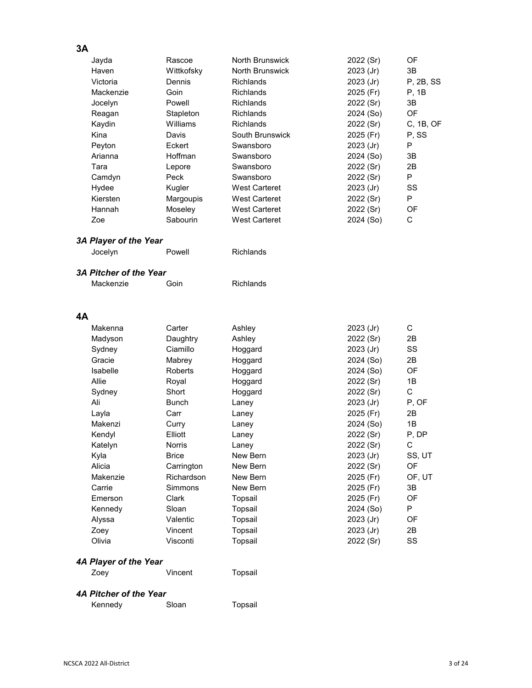# **3A**

|                       | Rascoe     | North Brunswick      |             | <b>OF</b> |
|-----------------------|------------|----------------------|-------------|-----------|
| Jayda                 |            |                      | 2022 (Sr)   |           |
| Haven                 | Wittkofsky | North Brunswick      | $2023$ (Jr) | 3B        |
| Victoria              | Dennis     | <b>Richlands</b>     | $2023$ (Jr) | P. 2B. SS |
| Mackenzie             | Goin       | <b>Richlands</b>     | 2025 (Fr)   | P, 1B     |
| Jocelyn               | Powell     | <b>Richlands</b>     | 2022 (Sr)   | 3B        |
| Reagan                | Stapleton  | <b>Richlands</b>     | 2024 (So)   | <b>OF</b> |
| Kaydin                | Williams   | <b>Richlands</b>     | 2022 (Sr)   | C, 1B, OF |
| Kina                  | Davis      | South Brunswick      | 2025 (Fr)   | P.SS      |
| Peyton                | Eckert     | Swansboro            | $2023$ (Jr) | P         |
| Arianna               | Hoffman    | Swansboro            | 2024 (So)   | 3B        |
| Tara                  | Lepore     | Swansboro            | 2022 (Sr)   | 2B        |
| Camdyn                | Peck       | Swansboro            | 2022 (Sr)   | P         |
| Hydee                 | Kugler     | <b>West Carteret</b> | $2023$ (Jr) | SS        |
| Kiersten              | Margoupis  | <b>West Carteret</b> | 2022 (Sr)   | P         |
| Hannah                | Moseley    | <b>West Carteret</b> | 2022 (Sr)   | OF        |
| Zoe                   | Sabourin   | <b>West Carteret</b> | 2024 (So)   | C         |
| 3A Player of the Year |            |                      |             |           |
| Jocelyn               | Powell     | <b>Richlands</b>     |             |           |
|                       |            |                      |             |           |

#### *3A Pitcher of the Year*

| Goin<br>Mackenzie |
|-------------------|
|                   |

# **4A**

| Makenna  | Carter        | Ashley   | 2023 (Jr) | С      |
|----------|---------------|----------|-----------|--------|
| Madyson  | Daughtry      | Ashley   | 2022 (Sr) | 2B     |
| Sydney   | Ciamillo      | Hoggard  | 2023 (Jr) | SS     |
| Gracie   | Mabrey        | Hoggard  | 2024 (So) | 2B     |
| Isabelle | Roberts       | Hoggard  | 2024 (So) | OF     |
| Allie    | Royal         | Hoggard  | 2022 (Sr) | 1B     |
| Sydney   | Short         | Hoggard  | 2022 (Sr) | С      |
| Ali      | Bunch         | Laney    | 2023 (Jr) | P, OF  |
| Layla    | Carr          | Laney    | 2025 (Fr) | 2B     |
| Makenzi  | Curry         | Laney    | 2024 (So) | 1B     |
| Kendyl   | Elliott       | Laney    | 2022 (Sr) | P, DP  |
| Katelyn  | <b>Norris</b> | Laney    | 2022 (Sr) | С      |
| Kyla     | <b>Brice</b>  | New Bern | 2023 (Jr) | SS, UT |
| Alicia   | Carrington    | New Bern | 2022 (Sr) | OF     |
| Makenzie | Richardson    | New Bern | 2025 (Fr) | OF, UT |
| Carrie   | Simmons       | New Bern | 2025 (Fr) | 3B     |
| Emerson  | Clark         | Topsail  | 2025 (Fr) | OF     |
| Kennedy  | Sloan         | Topsail  | 2024 (So) | P      |
| Alyssa   | Valentic      | Topsail  | 2023 (Jr) | OF     |
| Zoey     | Vincent       | Topsail  | 2023 (Jr) | 2B     |
| Olivia   | Visconti      | Topsail  | 2022 (Sr) | SS     |
|          |               |          |           |        |

# *4A Player of the Year*

| Zoey | Vincent | Topsail |
|------|---------|---------|
|      |         |         |

## *4A Pitcher of the Year*

| Kennedy | Sloan | Topsail |
|---------|-------|---------|
|---------|-------|---------|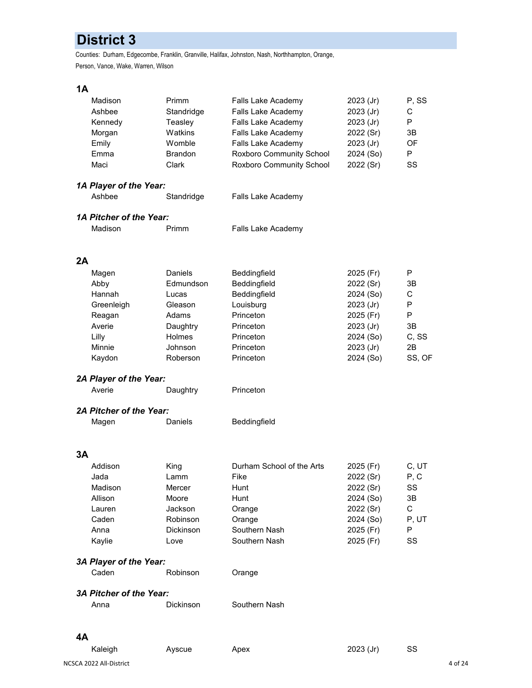# **District 3**

Counties: Durham, Edgecombe, Franklin, Granville, Halifax, Johnston, Nash, Northhampton, Orange, Person, Vance, Wake, Warren, Wilson

## **1A**

|    | Madison                          | Primm          | Falls Lake Academy        | 2023 (Jr) | P, SS  |
|----|----------------------------------|----------------|---------------------------|-----------|--------|
|    | Ashbee                           | Standridge     | Falls Lake Academy        | 2023 (Jr) | С      |
|    | Kennedy                          | Teasley        | Falls Lake Academy        | 2023 (Jr) | P      |
|    | Morgan                           | Watkins        | Falls Lake Academy        | 2022 (Sr) | 3B     |
|    | Emily                            | Womble         | Falls Lake Academy        | 2023 (Jr) | OF     |
|    | Emma                             | <b>Brandon</b> | Roxboro Community School  | 2024 (So) | P      |
|    | Maci                             | Clark          | Roxboro Community School  | 2022 (Sr) | SS     |
|    |                                  |                |                           |           |        |
|    | 1A Player of the Year:<br>Ashbee |                |                           |           |        |
|    |                                  | Standridge     | Falls Lake Academy        |           |        |
|    | 1A Pitcher of the Year:          |                |                           |           |        |
|    | Madison                          | Primm          | Falls Lake Academy        |           |        |
|    |                                  |                |                           |           |        |
| 2A |                                  | Daniels        |                           | 2025 (Fr) | P      |
|    | Magen                            |                | Beddingfield              |           |        |
|    | Abby                             | Edmundson      | Beddingfield              | 2022 (Sr) | 3B     |
|    | Hannah                           | Lucas          | Beddingfield              | 2024 (So) | С      |
|    | Greenleigh                       | Gleason        | Louisburg                 | 2023 (Jr) | P      |
|    | Reagan                           | Adams          | Princeton                 | 2025 (Fr) | P      |
|    | Averie                           | Daughtry       | Princeton                 | 2023 (Jr) | 3B     |
|    | Lilly                            | Holmes         | Princeton                 | 2024 (So) | C, SS  |
|    | Minnie                           | Johnson        | Princeton                 | 2023 (Jr) | 2B     |
|    | Kaydon                           | Roberson       | Princeton                 | 2024 (So) | SS, OF |
|    | 2A Player of the Year:           |                |                           |           |        |
|    | Averie                           | Daughtry       | Princeton                 |           |        |
|    | <b>2A Pitcher of the Year:</b>   |                |                           |           |        |
|    | Magen                            | Daniels        | Beddingfield              |           |        |
| 3A |                                  |                |                           |           |        |
|    | Addison                          | King           | Durham School of the Arts | 2025 (Fr) | C, UT  |
|    | Jada                             | Lamm           | Fike                      | 2022 (Sr) | P, C   |
|    | Madison                          | Mercer         | Hunt                      | 2022 (Sr) | SS     |
|    | Allison                          | Moore          | Hunt                      | 2024 (So) | 3B     |
|    | Lauren                           | Jackson        | Orange                    | 2022 (Sr) | С      |
|    | Caden                            | Robinson       | Orange                    | 2024 (So) | P, UT  |
|    | Anna                             | Dickinson      | Southern Nash             | 2025 (Fr) | P      |
|    | Kaylie                           | Love           | Southern Nash             | 2025 (Fr) | SS     |
|    |                                  |                |                           |           |        |
|    | 3A Player of the Year:           |                |                           |           |        |
|    | Caden                            | Robinson       | Orange                    |           |        |
|    | <b>3A Pitcher of the Year:</b>   |                |                           |           |        |
|    | Anna                             | Dickinson      | Southern Nash             |           |        |
|    |                                  |                |                           |           |        |

| Kaleigh |  |
|---------|--|
|         |  |

gh Ayscue Apex 2023 (Jr) SS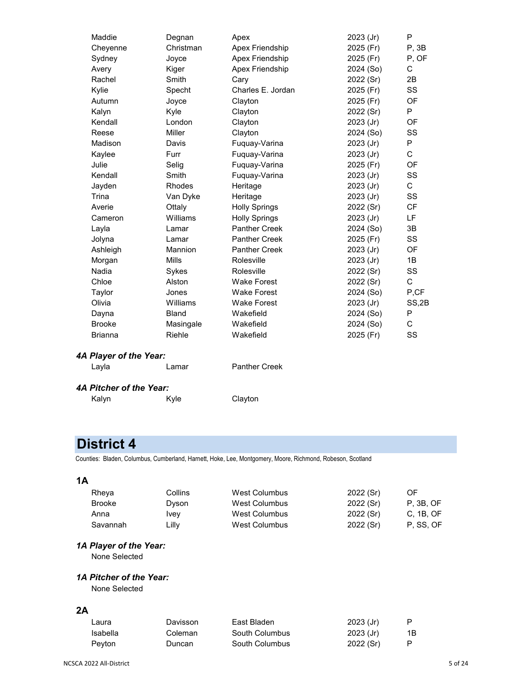| Maddie                 | Degnan       | Apex                 | 2023 (Jr) | P         |
|------------------------|--------------|----------------------|-----------|-----------|
| Cheyenne               | Christman    | Apex Friendship      | 2025 (Fr) | P, 3B     |
| Sydney                 | Joyce        | Apex Friendship      | 2025 (Fr) | P, OF     |
| Avery                  | Kiger        | Apex Friendship      | 2024 (So) | C         |
| Rachel                 | Smith        | Cary                 | 2022 (Sr) | 2B        |
| Kylie                  | Specht       | Charles E. Jordan    | 2025 (Fr) | SS        |
| Autumn                 | Joyce        | Clayton              | 2025 (Fr) | OF        |
| Kalyn                  | Kyle         | Clayton              | 2022 (Sr) | P         |
| Kendall                | London       | Clayton              | 2023 (Jr) | OF        |
| Reese                  | Miller       | Clayton              | 2024 (So) | SS        |
| Madison                | Davis        | Fuquay-Varina        | 2023 (Jr) | P         |
| Kaylee                 | Furr         | Fuquay-Varina        | 2023 (Jr) | C         |
| Julie                  | Selig        | Fuquay-Varina        | 2025 (Fr) | OF        |
| Kendall                | Smith        | Fuquay-Varina        | 2023 (Jr) | SS        |
| Jayden                 | Rhodes       | Heritage             | 2023 (Jr) | C         |
| Trina                  | Van Dyke     | Heritage             | 2023 (Jr) | SS        |
| Averie                 | Ottaly       | <b>Holly Springs</b> | 2022 (Sr) | <b>CF</b> |
| Cameron                | Williams     | <b>Holly Springs</b> | 2023 (Jr) | LF        |
| Layla                  | Lamar        | <b>Panther Creek</b> | 2024 (So) | 3B        |
| Jolyna                 | Lamar        | <b>Panther Creek</b> | 2025 (Fr) | SS        |
| Ashleigh               | Mannion      | <b>Panther Creek</b> | 2023 (Jr) | OF        |
| Morgan                 | <b>Mills</b> | Rolesville           | 2023 (Jr) | 1B        |
| Nadia                  | Sykes        | Rolesville           | 2022 (Sr) | SS        |
| Chloe                  | Alston       | <b>Wake Forest</b>   | 2022 (Sr) | C         |
| Taylor                 | Jones        | <b>Wake Forest</b>   | 2024 (So) | P,CF      |
| Olivia                 | Williams     | <b>Wake Forest</b>   | 2023 (Jr) | SS,2B     |
| Dayna                  | <b>Bland</b> | Wakefield            | 2024 (So) | P         |
| <b>Brooke</b>          | Masingale    | Wakefield            | 2024 (So) | C         |
| <b>Brianna</b>         | Riehle       | Wakefield            | 2025 (Fr) | SS        |
| 4A Player of the Year: |              |                      |           |           |
| Layla                  | Lamar        | <b>Panther Creek</b> |           |           |

#### *4A Pitcher of the Year:*

| Kalyn | Kyle |
|-------|------|
|-------|------|

# **District 4**

Counties: Bladen, Columbus, Cumberland, Harnett, Hoke, Lee, Montgomery, Moore, Richmond, Robeson, Scotland

Clayton

# **1A**

| Rheya    | Collins | West Columbus | 2022 (Sr) | OF        |
|----------|---------|---------------|-----------|-----------|
| Brooke   | Dyson   | West Columbus | 2022 (Sr) | P. 3B. OF |
| Anna     | Ivev    | West Columbus | 2022(Sr)  | C. 1B. OF |
| Savannah | Lilly   | West Columbus | 2022(Sr)  | P. SS. OF |

# *1A Player of the Year:*

None Selected

# *1A Pitcher of the Year:*

None Selected

| Laura         | Davisson | East Bladen    | $2023$ (Jr) |    |
|---------------|----------|----------------|-------------|----|
| Isabella      | Coleman  | South Columbus | $2023$ (Jr) | 1B |
| <b>Pevton</b> | Duncan   | South Columbus | 2022 (Sr)   |    |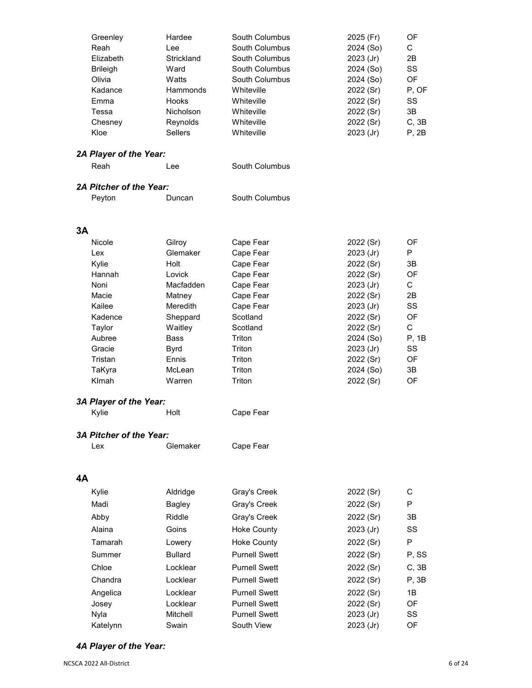|    | Greenley                       | Hardee          | South Columbus       | 2025 (Fr)   | OF          |
|----|--------------------------------|-----------------|----------------------|-------------|-------------|
|    | Reah                           | Lee             | South Columbus       | 2024 (So)   | C           |
|    | Elizabeth                      | Strickland      | South Columbus       | 2023 (Jr)   | 2B          |
|    | <b>Brileigh</b>                | Ward            | South Columbus       | 2024 (So)   | SS          |
|    | Olivia                         | Watts           | South Columbus       | 2024 (So)   | OF          |
|    | Kadance                        | Hammonds        | Whiteville           | 2022 (Sr)   | P, OF       |
|    | Emma                           | Hooks           | Whiteville           | 2022 (Sr)   | SS          |
|    | Tessa                          | Nicholson       | Whiteville           | 2022 (Sr)   | 3B          |
|    | Chesney                        | Reynolds        | Whiteville           | 2022 (Sr)   | C, 3B       |
|    | Kloe                           | <b>Sellers</b>  | Whiteville           | 2023 (Jr)   | P, 2B       |
|    |                                |                 |                      |             |             |
|    | 2A Player of the Year:         |                 |                      |             |             |
|    | Reah                           | Lee             | South Columbus       |             |             |
|    |                                |                 |                      |             |             |
|    | 2A Pitcher of the Year:        |                 |                      |             |             |
|    | Peyton                         | Duncan          | South Columbus       |             |             |
|    |                                |                 |                      |             |             |
|    |                                |                 |                      |             |             |
| 3A |                                |                 |                      |             |             |
|    | Nicole                         | Gilroy          | Cape Fear            | 2022 (Sr)   | OF          |
|    | Lex                            | Glemaker        | Cape Fear            | 2023 (Jr)   | P           |
|    | Kylie                          | Holt            | Cape Fear            | 2022 (Sr)   | 3B          |
|    | Hannah                         | Lovick          | Cape Fear            | 2022 (Sr)   | OF          |
|    | Noni                           | Macfadden       | Cape Fear            | 2023 (Jr)   | С           |
|    | Macie                          | Matney          | Cape Fear            | 2022 (Sr)   | 2B          |
|    | Kailee                         | <b>Meredith</b> | Cape Fear            | $2023$ (Jr) | SS          |
|    | Kadence                        | Sheppard        | Scotland             | 2022 (Sr)   | OF          |
|    | Taylor                         | Waitley         | Scotland             | 2022 (Sr)   | $\mathsf C$ |
|    | Aubree                         | <b>Bass</b>     | Triton               | 2024 (So)   | P, 1B       |
|    | Gracie                         | <b>Byrd</b>     | Triton               | 2023 (Jr)   | SS          |
|    | Tristan                        | Ennis           | Triton               | 2022 (Sr)   | OF          |
|    | TaKyra                         | McLean          | Triton               | 2024 (So)   | 3B          |
|    | Klmah                          | Warren          | Triton               | 2022 (Sr)   | OF          |
|    |                                |                 |                      |             |             |
|    | 3A Player of the Year:         |                 |                      |             |             |
|    | Kylie                          | Holt            | Cape Fear            |             |             |
|    |                                |                 |                      |             |             |
|    | <b>3A Pitcher of the Year:</b> |                 |                      |             |             |
|    | Lex                            | Glemaker        | Cape Fear            |             |             |
|    |                                |                 |                      |             |             |
|    |                                |                 |                      |             |             |
| 4A |                                |                 |                      |             |             |
|    |                                |                 |                      | 2022 (Sr)   | C           |
|    | Kylie                          | Aldridge        | Gray's Creek         |             |             |
|    | Madi                           | <b>Bagley</b>   | Gray's Creek         | 2022 (Sr)   | P           |
|    | Abby                           | Riddle          | Gray's Creek         | 2022 (Sr)   | 3В          |
|    | Alaina                         | Goins           | <b>Hoke County</b>   | 2023 (Jr)   | SS          |
|    | Tamarah                        | Lowery          | <b>Hoke County</b>   | 2022 (Sr)   | P           |
|    | Summer                         | <b>Bullard</b>  | <b>Purnell Swett</b> | 2022 (Sr)   | P, SS       |
|    | Chloe                          | Locklear        | <b>Purnell Swett</b> | 2022 (Sr)   | C, 3B       |
|    | Chandra                        | Locklear        | <b>Purnell Swett</b> | 2022 (Sr)   | P, 3B       |
|    | Angelica                       | Locklear        | <b>Purnell Swett</b> | 2022 (Sr)   | 1B          |
|    | Josey                          | Locklear        | <b>Purnell Swett</b> | 2022 (Sr)   | OF          |
|    | Nyla                           | Mitchell        | <b>Purnell Swett</b> | 2023 (Jr)   | SS          |
|    | Katelynn                       | Swain           | South View           | 2023 (Jr)   | OF          |
|    |                                |                 |                      |             |             |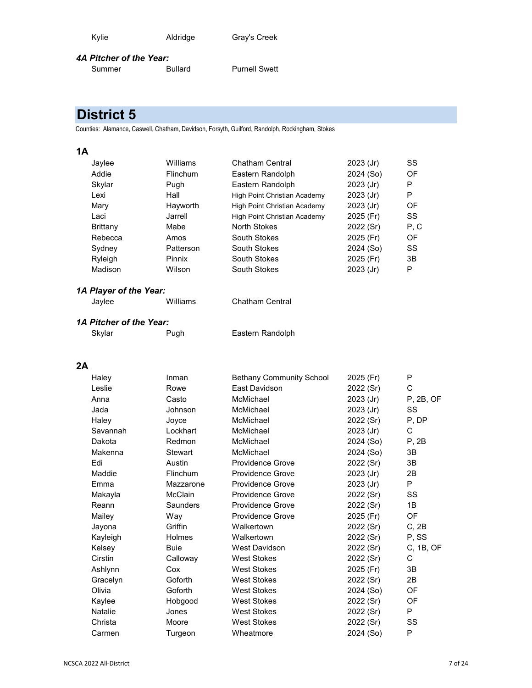| Kylie | Aldridge | Gray's Creek |
|-------|----------|--------------|
|       |          |              |

#### *4A Pitcher of the Year:*

Summer Bullard Purnell Swett

# **District 5**

Counties: Alamance, Caswell, Chatham, Davidson, Forsyth, Guilford, Randolph, Rockingham, Stokes

# **1A**

| Jaylee   | Williams        | Chatham Central              | 2023 (Jr)   | SS  |
|----------|-----------------|------------------------------|-------------|-----|
| Addie    | <b>Flinchum</b> | Eastern Randolph             | 2024 (So)   | OF  |
| Skylar   | Pugh            | Eastern Randolph             | $2023$ (Jr) | P   |
| Lexi     | Hall            | High Point Christian Academy | $2023$ (Jr) | P   |
| Mary     | Hayworth        | High Point Christian Academy | $2023$ (Jr) | OF  |
| Laci     | Jarrell         | High Point Christian Academy | 2025 (Fr)   | SS  |
| Brittany | Mabe            | North Stokes                 | 2022 (Sr)   | P.C |
| Rebecca  | Amos            | South Stokes                 | 2025 (Fr)   | OF  |
| Sydney   | Patterson       | South Stokes                 | 2024 (So)   | SS  |
| Ryleigh  | Pinnix          | South Stokes                 | 2025 (Fr)   | 3B  |
| Madison  | Wilson          | South Stokes                 | $2023$ (Jr) | Р   |

# *1A Player of the Year:*

| Jaylee | Williams | <b>Chatham Central</b> |
|--------|----------|------------------------|
|        |          |                        |

# *1A Pitcher of the Year:*

Skylar Pugh Eastern Randolph

| Haley          | Inman       | <b>Bethany Community School</b> | 2025 (Fr)   | P         |
|----------------|-------------|---------------------------------|-------------|-----------|
| Leslie         | Rowe        | East Davidson                   | 2022 (Sr)   | C         |
| Anna           | Casto       | McMichael                       | 2023 (Jr)   | P, 2B, OF |
| Jada           | Johnson     | McMichael                       | 2023 (Jr)   | SS        |
| Haley          | Joyce       | McMichael                       | 2022 (Sr)   | P, DP     |
| Savannah       | Lockhart    | McMichael                       | 2023 (Jr)   | С         |
| Dakota         | Redmon      | McMichael                       | 2024 (So)   | P, 2B     |
| Makenna        | Stewart     | McMichael                       | 2024 (So)   | 3B        |
| Edi            | Austin      | <b>Providence Grove</b>         | 2022 (Sr)   | 3B        |
| Maddie         | Flinchum    | <b>Providence Grove</b>         | $2023$ (Jr) | 2B        |
| Emma           | Mazzarone   | <b>Providence Grove</b>         | $2023$ (Jr) | P         |
| Makayla        | McClain     | <b>Providence Grove</b>         | 2022 (Sr)   | SS        |
| Reann          | Saunders    | <b>Providence Grove</b>         | 2022 (Sr)   | 1B        |
| Mailey         | Way         | <b>Providence Grove</b>         | 2025 (Fr)   | OF        |
| Jayona         | Griffin     | Walkertown                      | 2022 (Sr)   | C, 2B     |
| Kayleigh       | Holmes      | Walkertown                      | 2022 (Sr)   | P, SS     |
| Kelsey         | <b>Buie</b> | West Davidson                   | 2022 (Sr)   | C, 1B, OF |
| Cirstin        | Calloway    | <b>West Stokes</b>              | 2022 (Sr)   | C         |
| Ashlynn        | Cox         | <b>West Stokes</b>              | 2025 (Fr)   | 3B        |
| Gracelyn       | Goforth     | <b>West Stokes</b>              | 2022 (Sr)   | 2B        |
| Olivia         | Goforth     | <b>West Stokes</b>              | 2024 (So)   | OF        |
| Kaylee         | Hobgood     | <b>West Stokes</b>              | 2022 (Sr)   | OF        |
| <b>Natalie</b> | Jones       | West Stokes                     | 2022 (Sr)   | P         |
| Christa        | Moore       | <b>West Stokes</b>              | 2022 (Sr)   | SS        |
| Carmen         | Turgeon     | Wheatmore                       | 2024 (So)   | P         |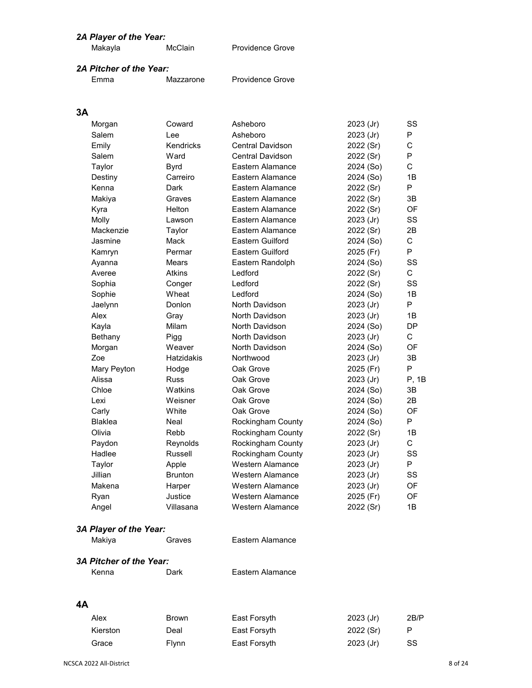| McClain<br>Providence Grove<br>Makayla |  |
|----------------------------------------|--|
|----------------------------------------|--|

# *2A Pitcher of the Year:*

```
Emma Mazzarone Providence Grove
```
# **3A**

| Morgan                         | Coward         | Asheboro                | 2023 (Jr) | SS           |
|--------------------------------|----------------|-------------------------|-----------|--------------|
| Salem                          | I ee           | Asheboro                | 2023 (Jr) | P            |
| Emily                          | Kendricks      | Central Davidson        | 2022 (Sr) | C            |
| Salem                          | Ward           | <b>Central Davidson</b> | 2022 (Sr) | P            |
| Taylor                         | <b>Byrd</b>    | Eastern Alamance        | 2024 (So) | $\mathsf{C}$ |
| Destiny                        | Carreiro       | Eastern Alamance        | 2024 (So) | 1B           |
| Kenna                          | Dark           | Eastern Alamance        | 2022 (Sr) | P            |
| Makiya                         | Graves         | Eastern Alamance        | 2022 (Sr) | 3B           |
| Kyra                           | Helton         | Eastern Alamance        | 2022 (Sr) | OF           |
| Molly                          | Lawson         | Eastern Alamance        | 2023 (Jr) | SS           |
| Mackenzie                      | Taylor         | Eastern Alamance        | 2022 (Sr) | 2B           |
| Jasmine                        | Mack           | <b>Eastern Guilford</b> | 2024 (So) | C            |
| Kamryn                         | Permar         | <b>Eastern Guilford</b> | 2025 (Fr) | P            |
| Ayanna                         | Mears          | Eastern Randolph        | 2024 (So) | SS           |
| Averee                         | <b>Atkins</b>  | Ledford                 | 2022 (Sr) | C            |
| Sophia                         | Conger         | Ledford                 | 2022 (Sr) | SS           |
| Sophie                         | Wheat          | Ledford                 | 2024 (So) | 1B           |
| Jaelynn                        | Donlon         | North Davidson          | 2023 (Jr) | P            |
| Alex                           | Gray           | North Davidson          | 2023 (Jr) | 1B           |
| Kayla                          | Milam          | North Davidson          | 2024 (So) | DP           |
| Bethany                        | Pigg           | North Davidson          | 2023 (Jr) | C            |
| Morgan                         | Weaver         | North Davidson          | 2024 (So) | OF           |
| Zoe                            | Hatzidakis     | Northwood               | 2023 (Jr) | 3B           |
| Mary Peyton                    | Hodge          | Oak Grove               | 2025 (Fr) | P            |
| Alissa                         | <b>Russ</b>    | Oak Grove               | 2023 (Jr) | P, 1B        |
| Chloe                          | Watkins        | Oak Grove               | 2024 (So) | 3B           |
| Lexi                           | Weisner        | Oak Grove               | 2024 (So) | 2B           |
| Carly                          | White          | Oak Grove               | 2024 (So) | OF           |
| <b>Blaklea</b>                 | Neal           | Rockingham County       | 2024 (So) | P            |
| Olivia                         | Rebb           | Rockingham County       | 2022 (Sr) | 1B           |
| Paydon                         | Reynolds       | Rockingham County       | 2023 (Jr) | C            |
| Hadlee                         | Russell        | Rockingham County       | 2023 (Jr) | SS           |
| Taylor                         | Apple          | <b>Western Alamance</b> | 2023 (Jr) | P.           |
| Jillian                        | <b>Brunton</b> | <b>Western Alamance</b> | 2023 (Jr) | SS           |
| Makena                         | Harper         | Western Alamance        | 2023 (Jr) | OF           |
| Ryan                           | Justice        | Western Alamance        | 2025 (Fr) | OF           |
| Angel                          | Villasana      | Western Alamance        | 2022 (Sr) | 1B           |
| 3A Player of the Year:         |                |                         |           |              |
| Makiya                         | Graves         | Eastern Alamance        |           |              |
| <b>3A Pitcher of the Year:</b> |                |                         |           |              |
| Kenna                          | Dark           | Eastern Alamance        |           |              |
|                                |                |                         |           |              |

| Alex     | <b>Brown</b> | East Forsyth | $2023$ (Jr) | 2B/P |
|----------|--------------|--------------|-------------|------|
| Kierston | Deal         | East Forsyth | 2022(Sr)    |      |
| Grace    | <b>Flynn</b> | East Forsyth | $2023$ (Jr) | SS   |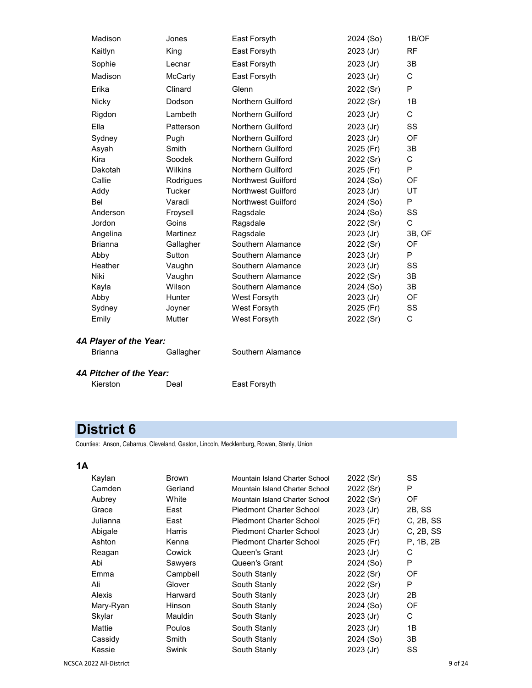| Madison        | Jones          | East Forsyth        | 2024 (So)   | 1B/OF     |
|----------------|----------------|---------------------|-------------|-----------|
| Kaitlyn        | King           | East Forsyth        | 2023 (Jr)   | <b>RF</b> |
| Sophie         | Lecnar         | East Forsyth        | 2023 (Jr)   | 3B        |
| Madison        | <b>McCarty</b> | East Forsyth        | $2023$ (Jr) | C         |
| Erika          | Clinard        | Glenn               | 2022 (Sr)   | P         |
| Nicky          | Dodson         | Northern Guilford   | 2022 (Sr)   | 1B        |
| Rigdon         | Lambeth        | Northern Guilford   | 2023 (Jr)   | C         |
| Ella           | Patterson      | Northern Guilford   | 2023 (Jr)   | SS        |
| Sydney         | Pugh           | Northern Guilford   | 2023 (Jr)   | OF        |
| Asyah          | Smith          | Northern Guilford   | 2025 (Fr)   | 3B        |
| Kira           | Soodek         | Northern Guilford   | 2022 (Sr)   | C         |
| Dakotah        | Wilkins        | Northern Guilford   | 2025 (Fr)   | P         |
| Callie         | Rodrigues      | Northwest Guilford  | 2024 (So)   | OF        |
| Addy           | Tucker         | Northwest Guilford  | 2023 (Jr)   | UT        |
| Bel            | Varadi         | Northwest Guilford  | 2024 (So)   | P         |
| Anderson       | Froysell       | Ragsdale            | 2024 (So)   | SS        |
| Jordon         | Goins          | Ragsdale            | 2022 (Sr)   | C         |
| Angelina       | Martinez       | Ragsdale            | $2023$ (Jr) | 3B, OF    |
| <b>Brianna</b> | Gallagher      | Southern Alamance   | 2022 (Sr)   | OF        |
| Abby           | Sutton         | Southern Alamance   | 2023 (Jr)   | P         |
| Heather        | Vaughn         | Southern Alamance   | 2023 (Jr)   | SS        |
| <b>Niki</b>    | Vaughn         | Southern Alamance   | 2022 (Sr)   | 3B        |
| Kayla          | Wilson         | Southern Alamance   | 2024 (So)   | 3B        |
| Abby           | <b>Hunter</b>  | West Forsyth        | 2023 (Jr)   | OF        |
| Sydney         | Joyner         | West Forsyth        | 2025 (Fr)   | SS        |
| Emily          | Mutter         | <b>West Forsyth</b> | 2022 (Sr)   | C         |

Brianna **Gallagher** Southern Alamance

#### *4A Pitcher of the Year:*

Deal East Forsyth

# **District 6**

Counties: Anson, Cabarrus, Cleveland, Gaston, Lincoln, Mecklenburg, Rowan, Stanly, Union

| Kaylan    | Brown         | Mountain Island Charter School | 2022 (Sr)   | <b>SS</b>    |
|-----------|---------------|--------------------------------|-------------|--------------|
| Camden    | Gerland       | Mountain Island Charter School | 2022 (Sr)   | P            |
| Aubrey    | White         | Mountain Island Charter School | 2022 (Sr)   | 0F           |
| Grace     | East          | Piedmont Charter School        | $2023$ (Jr) | 2B, SS       |
| Julianna  | East          | Piedmont Charter School        | 2025 (Fr)   | $C$ , 2B, SS |
| Abigale   | Harris        | <b>Piedmont Charter School</b> | $2023$ (Jr) | C. 2B, SS    |
| Ashton    | Kenna         | <b>Piedmont Charter School</b> | 2025 (Fr)   | P. 1B, 2B    |
| Reagan    | Cowick        | Queen's Grant                  | $2023$ (Jr) | С            |
| Abi       | Sawyers       | Queen's Grant                  | 2024 (So)   | P            |
| Emma      | Campbell      | South Stanly                   | 2022 (Sr)   | OF           |
| Ali       | Glover        | South Stanly                   | 2022 (Sr)   | P            |
| Alexis    | Harward       | South Stanly                   | $2023$ (Jr) | 2B           |
| Mary-Ryan | Hinson        | South Stanly                   | 2024 (So)   | OF           |
| Skylar    | Mauldin       | South Stanly                   | 2023 (Jr)   | С            |
| Mattie    | <b>Poulos</b> | South Stanly                   | $2023$ (Jr) | 1B           |
| Cassidy   | Smith         | South Stanly                   | 2024 (So)   | 3B           |
| Kassie    | Swink         | South Stanly                   | $2023$ (Jr) | SS           |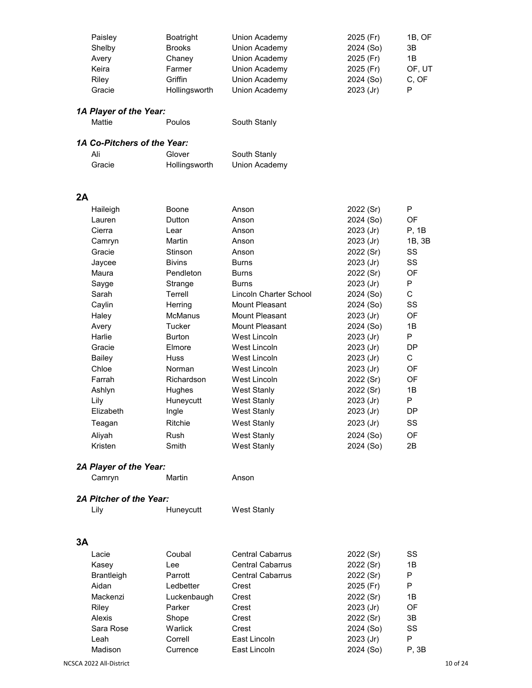| Paisley | Boatright     | Union Academy | 2025 (Fr)   | 1B. OF |
|---------|---------------|---------------|-------------|--------|
| Shelby  | <b>Brooks</b> | Union Academy | 2024 (So)   | 3B     |
| Avery   | Chaney        | Union Academy | 2025 (Fr)   | 1Β     |
| Keira   | Farmer        | Union Academy | 2025 (Fr)   | OF, UT |
| Riley   | Griffin       | Union Academy | 2024 (So)   | C, OF  |
| Gracie  | Hollingsworth | Union Academy | $2023$ (Jr) | P      |
|         |               |               |             |        |

| Mattie | Poulos                      | South Stanly  |  |
|--------|-----------------------------|---------------|--|
|        | 1A Co-Pitchers of the Year: |               |  |
| Ali    | Glover                      | South Stanly  |  |
| Gracie | Hollingsworth               | Union Academy |  |

# **2A**

| Haileigh  | Boone          | Anson                  | 2022 (Sr)   | P         |
|-----------|----------------|------------------------|-------------|-----------|
| Lauren    | Dutton         | Anson                  | 2024 (So)   | <b>OF</b> |
| Cierra    | Lear           | Anson                  | 2023 (Jr)   | P, 1B     |
| Camryn    | Martin         | Anson                  | $2023$ (Jr) | 1B, 3B    |
| Gracie    | Stinson        | Anson                  | 2022 (Sr)   | SS        |
| Jaycee    | <b>Bivins</b>  | <b>Burns</b>           | 2023 (Jr)   | SS        |
| Maura     | Pendleton      | <b>Burns</b>           | 2022 (Sr)   | OF        |
| Sayge     | Strange        | <b>Burns</b>           | $2023$ (Jr) | P         |
| Sarah     | Terrell        | Lincoln Charter School | 2024 (So)   | С         |
| Caylin    | Herring        | Mount Pleasant         | 2024 (So)   | SS        |
| Haley     | <b>McManus</b> | Mount Pleasant         | $2023$ (Jr) | 0F        |
| Avery     | Tucker         | Mount Pleasant         | 2024 (So)   | 1B        |
| Harlie    | <b>Burton</b>  | West Lincoln           | 2023 (Jr)   | P         |
| Gracie    | Elmore         | West Lincoln           | $2023$ (Jr) | DP.       |
| Bailey    | <b>Huss</b>    | West Lincoln           | 2023 (Jr)   | C         |
| Chloe     | Norman         | West Lincoln           | $2023$ (Jr) | OF        |
| Farrah    | Richardson     | West Lincoln           | 2022 (Sr)   | 0F        |
| Ashlyn    | <b>Hughes</b>  | West Stanly            | 2022 (Sr)   | 1B        |
| Lily      | Huneycutt      | West Stanly            | 2023 (Jr)   | P         |
| Elizabeth | Ingle          | West Stanly            | 2023 (Jr)   | DP.       |
| Teagan    | Ritchie        | West Stanly            | 2023 (Jr)   | SS        |
| Aliyah    | Rush           | West Stanly            | 2024 (So)   | <b>OF</b> |
| Kristen   | Smith          | West Stanly            | 2024 (So)   | 2B        |
|           |                |                        |             |           |

# *2A Player of the Year:*

Camryn Martin Anson

## *2A Pitcher of the Year:*

Lily **Huneycutt** West Stanly

| Lacie             | Coubal      | <b>Central Cabarrus</b> | 2022 (Sr)   | SS    |
|-------------------|-------------|-------------------------|-------------|-------|
| Kasey             | Lee         | <b>Central Cabarrus</b> | 2022 (Sr)   | 1B    |
| <b>Brantleigh</b> | Parrott     | <b>Central Cabarrus</b> | 2022 (Sr)   | P     |
| Aidan             | Ledbetter   | Crest                   | 2025 (Fr)   | P     |
| Mackenzi          | Luckenbaugh | Crest                   | 2022 (Sr)   | 1B    |
| Riley             | Parker      | Crest                   | $2023$ (Jr) | OF    |
| Alexis            | Shope       | Crest                   | 2022 (Sr)   | 3B    |
| Sara Rose         | Warlick     | Crest                   | 2024 (So)   | SS    |
| Leah              | Correll     | East Lincoln            | $2023$ (Jr) | P     |
| Madison           | Currence    | East Lincoln            | 2024 (So)   | P. 3B |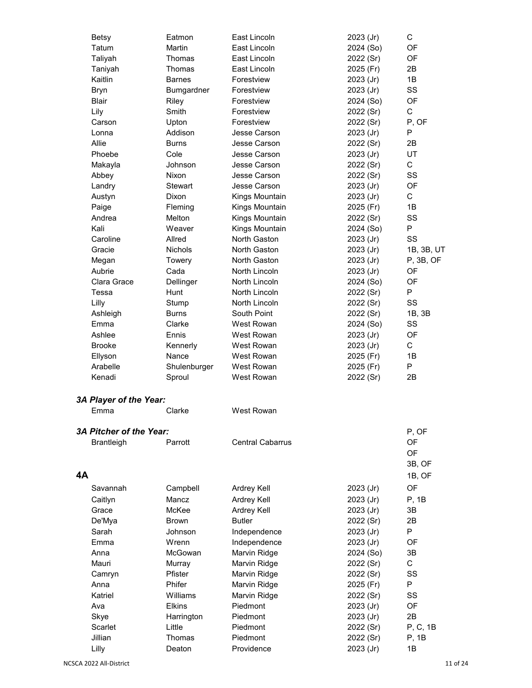|           | <b>Betsy</b>            | Eatmon         | East Lincoln            | 2023 (Jr) | C          |
|-----------|-------------------------|----------------|-------------------------|-----------|------------|
|           | Tatum                   | Martin         | East Lincoln            | 2024 (So) | OF         |
|           |                         | Thomas         | East Lincoln            |           | OF         |
|           | Taliyah                 | Thomas         | East Lincoln            | 2022 (Sr) | 2B         |
|           | Taniyah<br>Kaitlin      | <b>Barnes</b>  |                         | 2025 (Fr) | 1B         |
|           |                         |                | Forestview              | 2023 (Jr) |            |
|           | <b>Bryn</b>             | Bumgardner     | Forestview              | 2023 (Jr) | SS         |
|           | <b>Blair</b>            | Riley          | Forestview              | 2024 (So) | OF         |
|           | Lily                    | Smith          | Forestview              | 2022 (Sr) | C          |
|           | Carson                  | Upton          | Forestview              | 2022 (Sr) | P, OF      |
|           | Lonna                   | Addison        | Jesse Carson            | 2023 (Jr) | P          |
|           | Allie                   | <b>Burns</b>   | Jesse Carson            | 2022 (Sr) | 2B         |
|           | Phoebe                  | Cole           | Jesse Carson            | 2023 (Jr) | UT         |
|           | Makayla                 | Johnson        | Jesse Carson            | 2022 (Sr) | C          |
|           | Abbey                   | Nixon          | Jesse Carson            | 2022 (Sr) | SS         |
|           | Landry                  | Stewart        | Jesse Carson            | 2023 (Jr) | OF         |
|           | Austyn                  | Dixon          | Kings Mountain          | 2023 (Jr) | C          |
|           | Paige                   | Fleming        | Kings Mountain          | 2025 (Fr) | 1B         |
|           | Andrea                  | Melton         | Kings Mountain          | 2022 (Sr) | SS         |
|           | Kali                    | Weaver         | Kings Mountain          | 2024 (So) | P          |
|           | Caroline                | Allred         | North Gaston            | 2023 (Jr) | SS         |
|           | Gracie                  | <b>Nichols</b> | North Gaston            | 2023 (Jr) | 1B, 3B, UT |
|           | Megan                   | Towery         | North Gaston            | 2023 (Jr) | P, 3B, OF  |
|           | Aubrie                  | Cada           | North Lincoln           | 2023 (Jr) | OF         |
|           | Clara Grace             | Dellinger      | North Lincoln           | 2024 (So) | OF         |
|           | Tessa                   | Hunt           | North Lincoln           | 2022 (Sr) | P          |
|           | Lilly                   | Stump          | North Lincoln           | 2022 (Sr) | SS         |
|           | Ashleigh                | <b>Burns</b>   | South Point             | 2022 (Sr) | 1B, 3B     |
|           | Emma                    | Clarke         | West Rowan              | 2024 (So) | SS         |
|           | Ashlee                  | Ennis          | West Rowan              | 2023 (Jr) | OF         |
|           | <b>Brooke</b>           | Kennerly       | West Rowan              | 2023 (Jr) | C          |
|           | Ellyson                 | Nance          | West Rowan              | 2025 (Fr) | 1B         |
|           | Arabelle                | Shulenburger   | West Rowan              | 2025 (Fr) | P          |
|           | Kenadi                  | Sproul         | West Rowan              | 2022 (Sr) | 2B         |
|           | 3A Player of the Year:  |                |                         |           |            |
|           | Emma                    | Clarke         | West Rowan              |           |            |
|           | 3A Pitcher of the Year: |                |                         |           | P, OF      |
|           | Brantleigh              | Parrott        | <b>Central Cabarrus</b> |           | OF         |
|           |                         |                |                         |           | OF         |
|           |                         |                |                         |           | 3B, OF     |
| <b>4A</b> |                         |                |                         |           | 1B, OF     |
|           | Savannah                | Campbell       | Ardrey Kell             |           | OF         |
|           |                         |                |                         | 2023 (Jr) |            |
|           | Caitlyn                 | Mancz          | Ardrey Kell             | 2023 (Jr) | P, 1B      |
|           | Grace                   | McKee          | Ardrey Kell             | 2023 (Jr) | 3В         |
|           | De'Mya                  | <b>Brown</b>   | <b>Butler</b>           | 2022 (Sr) | 2B         |
|           | Sarah                   | Johnson        | Independence            | 2023 (Jr) | P          |
|           | Emma                    | Wrenn          | Independence            | 2023 (Jr) | OF         |
|           | Anna                    | McGowan        | Marvin Ridge            | 2024 (So) | 3B         |
|           | Mauri                   | Murray         | Marvin Ridge            | 2022 (Sr) | C          |
|           | Camryn                  | Pfister        | Marvin Ridge            | 2022 (Sr) | SS         |
|           | Anna                    | Phifer         | Marvin Ridge            | 2025 (Fr) | P          |
|           | Katriel                 | Williams       | Marvin Ridge            | 2022 (Sr) | SS         |
|           | Ava                     | <b>Elkins</b>  | Piedmont                | 2023 (Jr) | OF         |
|           | Skye                    | Harrington     | Piedmont                | 2023 (Jr) | 2B         |
|           | Scarlet                 | Little         | Piedmont                | 2022 (Sr) | P, C, 1B   |
|           | Jillian                 | Thomas         | Piedmont                | 2022 (Sr) | P, 1B      |
|           | Lilly                   | Deaton         | Providence              | 2023 (Jr) | 1B         |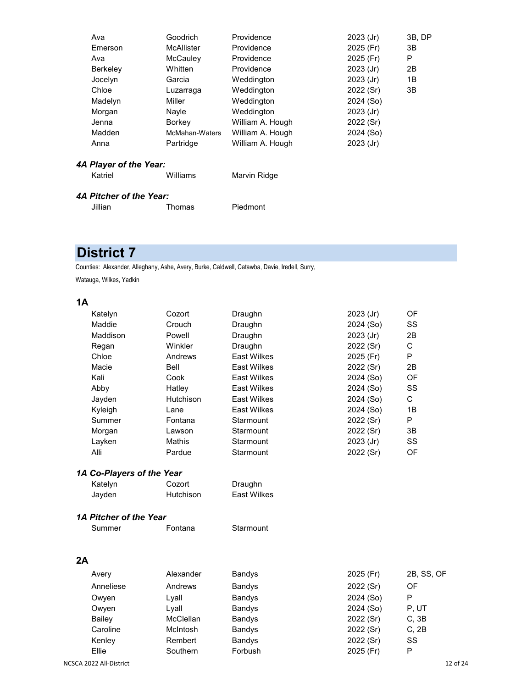| Ava             | Goodrich          | Providence       | $2023$ (Jr) | 3B, DP |
|-----------------|-------------------|------------------|-------------|--------|
| Emerson         | <b>McAllister</b> | Providence       | 2025 (Fr)   | 3B     |
| Ava             | McCauley          | Providence       | 2025 (Fr)   | P      |
| <b>Berkelev</b> | Whitten           | Providence       | $2023$ (Jr) | 2B     |
| Jocelyn         | Garcia            | Weddington       | $2023$ (Jr) | 1Β     |
| Chloe           | Luzarraga         | Weddington       | 2022 (Sr)   | 3B     |
| Madelyn         | Miller            | Weddington       | 2024 (So)   |        |
| Morgan          | Nayle             | Weddington       | 2023 (Jr)   |        |
| Jenna           | Borkey            | William A. Hough | 2022 (Sr)   |        |
| Madden          | McMahan-Waters    | William A. Hough | 2024 (So)   |        |
| Anna            | Partridge         | William A. Hough | 2023 (Jr)   |        |
|                 |                   |                  |             |        |

| Williams<br>Katriel | Marvin Ridge |
|---------------------|--------------|
|---------------------|--------------|

# *4A Pitcher of the Year:*

| Jillian | Tho |
|---------|-----|
|---------|-----|

omas Piedmont

# **District 7**

Counties: Alexander, Alleghany, Ashe, Avery, Burke, Caldwell, Catawba, Davie, Iredell, Surry,

Watauga, Wilkes, Yadkin

|    | Katelyn                   | Cozort    | Draughn            | 2023 (Jr) | OF         |
|----|---------------------------|-----------|--------------------|-----------|------------|
|    | Maddie                    | Crouch    | Draughn            | 2024 (So) | SS         |
|    | Maddison                  | Powell    | Draughn            | 2023 (Jr) | 2B         |
|    | Regan                     | Winkler   | Draughn            | 2022 (Sr) | C          |
|    | Chloe                     | Andrews   | <b>East Wilkes</b> | 2025 (Fr) | P          |
|    | Macie                     | Bell      | <b>East Wilkes</b> | 2022 (Sr) | 2B         |
|    | Kali                      | Cook      | <b>East Wilkes</b> | 2024 (So) | OF         |
|    | Abby                      | Hatley    | <b>East Wilkes</b> | 2024 (So) | SS         |
|    | Jayden                    | Hutchison | <b>East Wilkes</b> | 2024 (So) | C          |
|    | Kyleigh                   | Lane      | <b>East Wilkes</b> | 2024 (So) | 1B         |
|    | Summer                    | Fontana   | Starmount          | 2022 (Sr) | P          |
|    | Morgan                    | Lawson    | Starmount          | 2022 (Sr) | 3B         |
|    | Layken                    | Mathis    | Starmount          | 2023 (Jr) | SS         |
|    | Alli                      | Pardue    | Starmount          | 2022 (Sr) | OF         |
|    | 1A Co-Players of the Year |           |                    |           |            |
|    | Katelyn                   | Cozort    | Draughn            |           |            |
|    | Jayden                    | Hutchison | <b>East Wilkes</b> |           |            |
|    | 1A Pitcher of the Year    |           |                    |           |            |
|    | Summer                    | Fontana   | Starmount          |           |            |
|    |                           |           |                    |           |            |
| 2A |                           |           |                    |           |            |
|    | Avery                     | Alexander | <b>Bandys</b>      | 2025 (Fr) | 2B, SS, OF |
|    | Anneliese                 | Andrews   | <b>Bandys</b>      | 2022 (Sr) | OF         |
|    | Owyen                     | Lyall     | <b>Bandys</b>      | 2024 (So) | P          |
|    | Owyen                     | Lyall     | <b>Bandys</b>      | 2024 (So) | P, UT      |
|    | <b>Bailey</b>             | McClellan | <b>Bandys</b>      | 2022 (Sr) | C, 3B      |
|    | Caroline                  | McIntosh  | <b>Bandys</b>      | 2022 (Sr) | C, 2B      |
|    | Kenley                    | Rembert   | <b>Bandys</b>      | 2022 (Sr) | SS         |
|    | Ellie                     | Southern  | Forbush            | 2025 (Fr) | P          |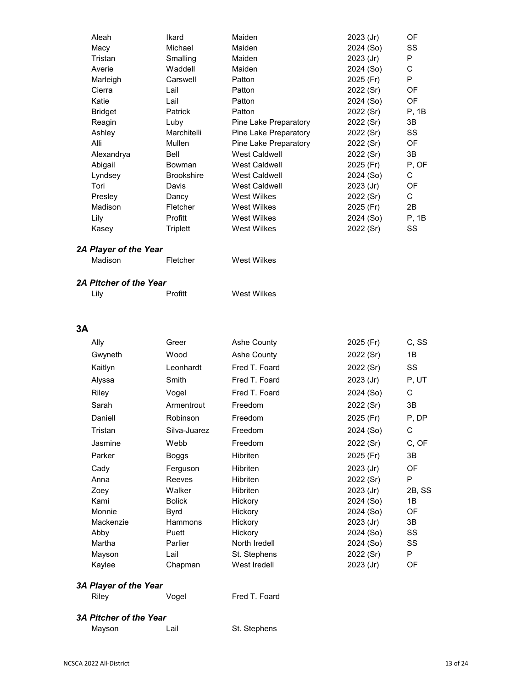| Aleah      | Ikard             | Maiden                | 2023 (Jr)   | OF        |
|------------|-------------------|-----------------------|-------------|-----------|
| Macy       | Michael           | Maiden                | 2024 (So)   | SS        |
| Tristan    | Smalling          | Maiden                | $2023$ (Jr) | P         |
| Averie     | Waddell           | Maiden                | 2024 (So)   | C         |
| Marleigh   | Carswell          | Patton                | 2025 (Fr)   | P         |
| Cierra     | Lail              | Patton                | 2022 (Sr)   | OF        |
| Katie      | Lail              | Patton                | 2024 (So)   | <b>OF</b> |
| Bridget    | <b>Patrick</b>    | Patton                | 2022 (Sr)   | P. 1B     |
| Reagin     | Luby              | Pine Lake Preparatory | 2022 (Sr)   | 3B        |
| Ashley     | Marchitelli       | Pine Lake Preparatory | 2022 (Sr)   | SS        |
| Alli       | Mullen            | Pine Lake Preparatory | 2022 (Sr)   | 0F        |
| Alexandrya | Bell              | <b>West Caldwell</b>  | 2022 (Sr)   | 3B        |
| Abigail    | Bowman            | <b>West Caldwell</b>  | 2025 (Fr)   | P, OF     |
| Lyndsey    | <b>Brookshire</b> | <b>West Caldwell</b>  | 2024 (So)   | C         |
| Tori       | Davis             | <b>West Caldwell</b>  | $2023$ (Jr) | <b>OF</b> |
| Presley    | Dancy             | West Wilkes           | 2022 (Sr)   | C         |
| Madison    | Fletcher          | West Wilkes           | 2025 (Fr)   | 2B        |
| Lily       | Profitt           | West Wilkes           | 2024 (So)   | P, 1B     |
| Kasey      | Triplett          | West Wilkes           | 2022 (Sr)   | SS        |
|            |                   |                       |             |           |

| West Wilkes<br>Madison<br>Fletcher |
|------------------------------------|
|------------------------------------|

#### *2A Pitcher of the Year*

Lily **Profitt** West Wilkes

## **3A**

| Ally      | Greer         | Ashe County   | 2025 (Fr)   | C, SS     |
|-----------|---------------|---------------|-------------|-----------|
| Gwyneth   | Wood          | Ashe County   | 2022 (Sr)   | 1B        |
| Kaitlyn   | Leonhardt     | Fred T. Foard | 2022 (Sr)   | SS        |
| Alyssa    | Smith         | Fred T. Foard | $2023$ (Jr) | P, UT     |
| Riley     | Vogel         | Fred T. Foard | 2024 (So)   | C         |
| Sarah     | Armentrout    | Freedom       | 2022 (Sr)   | 3B        |
| Daniell   | Robinson      | Freedom       | 2025 (Fr)   | P, DP     |
| Tristan   | Silva-Juarez  | Freedom       | 2024 (So)   | С         |
| Jasmine   | Webb          | Freedom       | 2022 (Sr)   | C, OF     |
| Parker    | Boggs         | Hibriten      | 2025 (Fr)   | 3B        |
| Cady      | Ferguson      | Hibriten      | $2023$ (Jr) | <b>OF</b> |
| Anna      | Reeves        | Hibriten      | 2022 (Sr)   | P         |
| Zoey      | Walker        | Hibriten      | $2023$ (Jr) | 2B, SS    |
| Kami      | <b>Bolick</b> | Hickory       | 2024 (So)   | 1B        |
| Monnie    | <b>Byrd</b>   | Hickory       | 2024 (So)   | OF        |
| Mackenzie | Hammons       | Hickory       | $2023$ (Jr) | 3B        |
| Abby      | Puett         | Hickory       | 2024 (So)   | SS        |
| Martha    | Parlier       | North Iredell | 2024 (So)   | SS        |
| Mayson    | Lail          | St. Stephens  | 2022 (Sr)   | P         |
| Kaylee    | Chapman       | West Iredell  | 2023 (Jr)   | OF        |
|           |               |               |             |           |

# *3A Player of the Year*

Riley **Vogel** Fred T. Foard

# *3A Pitcher of the Year*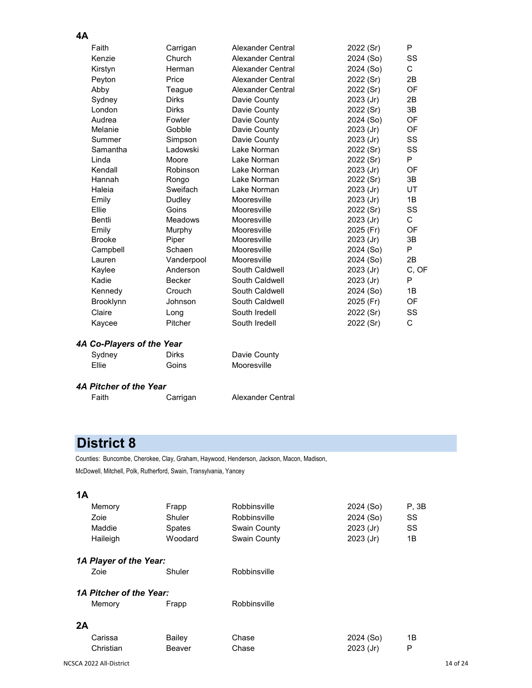#### **4A** Faith Carrigan Alexander Central 2022 (Sr) P Kenzie Church Alexander Central 2024 (So) SS Kirstyn Herman Alexander Central 2024 (So) C Peyton Price Alexander Central 2022 (Sr) 2B Abby Teague Alexander Central 2022 (Sr) OF Sydney Dirks Davie County 2023 (Jr) 2B London Dirks Davie County 2022 (Sr) 3B Audrea Fowler Davie County 2024 (So) OF Melanie Gobble Davie County 2023 (Jr) OF Summer Simpson Davie County 2023 (Jr) SS Samantha Ladowski Lake Norman 2022 (Sr) SS Linda Moore Lake Norman 2022 (Sr) P Kendall Robinson Lake Norman 2023 (Jr) OF Hannah Rongo Lake Norman 2022 (Sr) 3B Haleia Sweifach Lake Norman 2023 (Jr) UT Emily **Dudley Mooresville 2023 (Jr)** 1B Ellie Goins Mooresville 2022 (Sr) SS Bentli Meadows Mooresville 2023 (Jr) C Murphy Mooresville 2025 (Fr) OF Brooke Piper Mooresville 2023 (Jr) 3B Campbell Schaen Mooresville 2024 (So) P Lauren Vanderpool Mooresville 2024 (So) 2B Kaylee **Anderson** South Caldwell **2023** (Jr) C, OF Kadie Becker South Caldwell 2023 (Jr) P Kennedy Crouch South Caldwell 2024 (So) 1B Brooklynn Johnson South Caldwell 2025 (Fr) OF Claire Long South Iredell 2022 (Sr) SS Kaycee Pitcher South Iredell 2022 (Sr) C

## *4A Co-Players of the Year*

Sydney Dirks Davie County Ellie Goins Mooresville

#### *4A Pitcher of the Year*

Faith Carrigan Alexander Central

# **District 8**

Counties: Buncombe, Cherokee, Clay, Graham, Haywood, Henderson, Jackson, Macon, Madison, McDowell, Mitchell, Polk, Rutherford, Swain, Transylvania, Yancey

|    | Memory<br>Zoie<br>Maddie<br>Haileigh | Frapp<br>Shuler<br><b>Spates</b><br>Woodard | Robbinsville<br>Robbinsville<br>Swain County<br>Swain County | 2024 (So)<br>2024 (So)<br>$2023$ (Jr)<br>$2023$ (Jr) | P. 3B<br>SS<br>SS<br>1B |  |  |
|----|--------------------------------------|---------------------------------------------|--------------------------------------------------------------|------------------------------------------------------|-------------------------|--|--|
|    | 1A Player of the Year:               |                                             |                                                              |                                                      |                         |  |  |
|    | Zoie                                 | Shuler                                      | Robbinsville                                                 |                                                      |                         |  |  |
|    | 1A Pitcher of the Year:              |                                             |                                                              |                                                      |                         |  |  |
|    | Memory                               | Frapp                                       | Robbinsville                                                 |                                                      |                         |  |  |
| 2A |                                      |                                             |                                                              |                                                      |                         |  |  |
|    | Carissa                              | Bailey                                      | Chase                                                        | 2024 (So)                                            | 1B                      |  |  |
|    | Christian                            | Beaver                                      | Chase                                                        | $2023$ (Jr)                                          | P                       |  |  |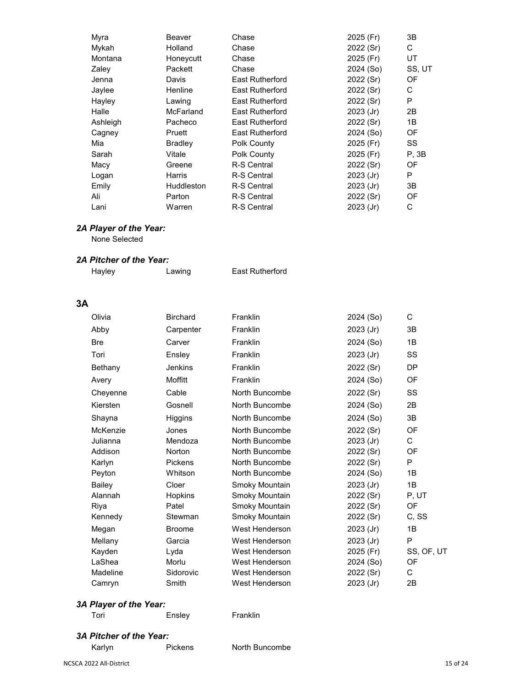| Myra     | Beaver         | Chase                  | 2025 (Fr)   | 3B        |
|----------|----------------|------------------------|-------------|-----------|
| Mykah    | Holland        | Chase                  | 2022 (Sr)   | С         |
| Montana  | Honeycutt      | Chase                  | 2025 (Fr)   | <b>UT</b> |
| Zaley    | Packett        | Chase                  | 2024 (So)   | SS, UT    |
| Jenna    | Davis          | <b>East Rutherford</b> | 2022 (Sr)   | OF        |
| Jaylee   | Henline        | <b>East Rutherford</b> | 2022 (Sr)   | С         |
| Hayley   | Lawing         | <b>East Rutherford</b> | 2022 (Sr)   | P         |
| Halle    | McFarland      | East Rutherford        | $2023$ (Jr) | 2B        |
| Ashleigh | Pacheco        | <b>East Rutherford</b> | 2022 (Sr)   | 1B        |
| Cagney   | Pruett         | <b>East Rutherford</b> | 2024 (So)   | OF        |
| Mia      | <b>Bradley</b> | Polk County            | 2025 (Fr)   | SS        |
| Sarah    | Vitale         | Polk County            | 2025 (Fr)   | P. 3B     |
| Macy     | Greene         | R-S Central            | 2022 (Sr)   | OF        |
| Logan    | Harris         | R-S Central            | 2023 (Jr)   | P         |
| Emily    | Huddleston     | R-S Central            | $2023$ (Jr) | 3B        |
| Ali      | Parton         | R-S Central            | 2022 (Sr)   | OF        |
| Lani     | Warren         | R-S Central            | $2023$ (Jr) | С         |

None Selected

#### *2A Pitcher of the Year:*

Hayley **Lawing** East Rutherford

# **3A**

| Olivia     | <b>Birchard</b> | Franklin       | 2024 (So) | C          |
|------------|-----------------|----------------|-----------|------------|
| Abby       | Carpenter       | Franklin       | 2023 (Jr) | 3B         |
| <b>Bre</b> | Carver          | Franklin       | 2024 (So) | 1B         |
| Tori       | Ensley          | Franklin       | 2023 (Jr) | SS         |
| Bethany    | <b>Jenkins</b>  | Franklin       | 2022 (Sr) | <b>DP</b>  |
| Avery      | Moffitt         | Franklin       | 2024 (So) | OF         |
| Cheyenne   | Cable           | North Buncombe | 2022 (Sr) | SS         |
| Kiersten   | Gosnell         | North Buncombe | 2024 (So) | 2B         |
| Shayna     | Higgins         | North Buncombe | 2024 (So) | 3B         |
| McKenzie   | Jones           | North Buncombe | 2022 (Sr) | OF         |
| Julianna   | Mendoza         | North Buncombe | 2023 (Jr) | C          |
| Addison    | Norton          | North Buncombe | 2022 (Sr) | OF         |
| Karlyn     | <b>Pickens</b>  | North Buncombe | 2022 (Sr) | P          |
| Peyton     | Whitson         | North Buncombe | 2024 (So) | 1B         |
| Bailey     | Cloer           | Smoky Mountain | 2023 (Jr) | 1B         |
| Alannah    | Hopkins         | Smoky Mountain | 2022 (Sr) | P, UT      |
| Riya       | Patel           | Smoky Mountain | 2022 (Sr) | OF         |
| Kennedy    | Stewman         | Smoky Mountain | 2022 (Sr) | C, SS      |
| Megan      | <b>Broome</b>   | West Henderson | 2023 (Jr) | 1B         |
| Mellany    | Garcia          | West Henderson | 2023 (Jr) | P          |
| Kayden     | Lyda            | West Henderson | 2025 (Fr) | SS, OF, UT |
| LaShea     | Morlu           | West Henderson | 2024 (So) | OF         |
| Madeline   | Sidorovic       | West Henderson | 2022 (Sr) | C          |
| Camryn     | Smith           | West Henderson | 2023 (Jr) | 2B         |
|            |                 |                |           |            |

# *3A Player of the Year:*

Tori **Ensley** Franklin

- *3A Pitcher of the Year:*
	- Karlyn Pickens North Buncombe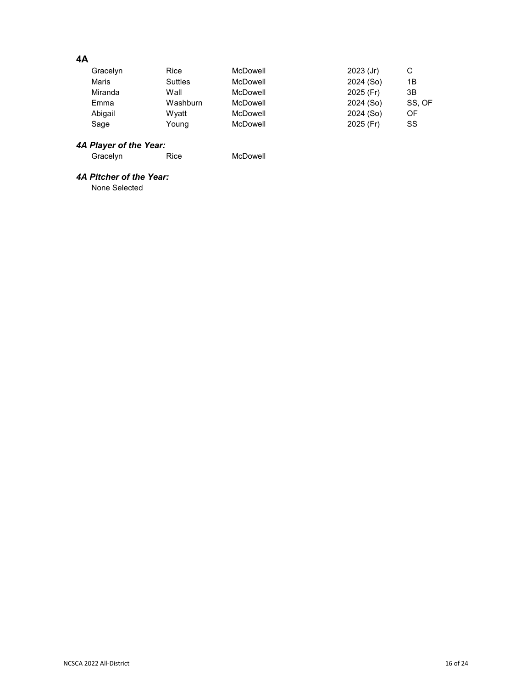# **4A**

| Gracelyn | Rice     | McDowell | $2023$ (Jr) | С      |
|----------|----------|----------|-------------|--------|
| Maris    | Suttles  | McDowell | 2024 (So)   | 1B     |
| Miranda  | Wall     | McDowell | 2025 (Fr)   | 3B     |
| Emma     | Washburn | McDowell | 2024 (So)   | SS. OF |
| Abigail  | Wvatt    | McDowell | 2024 (So)   | OF     |
| Sage     | Young    | McDowell | 2025 (Fr)   | SS     |

#### *4A Player of the Year:*

Gracelyn Rice McDowell

## *4A Pitcher of the Year:*

None Selected